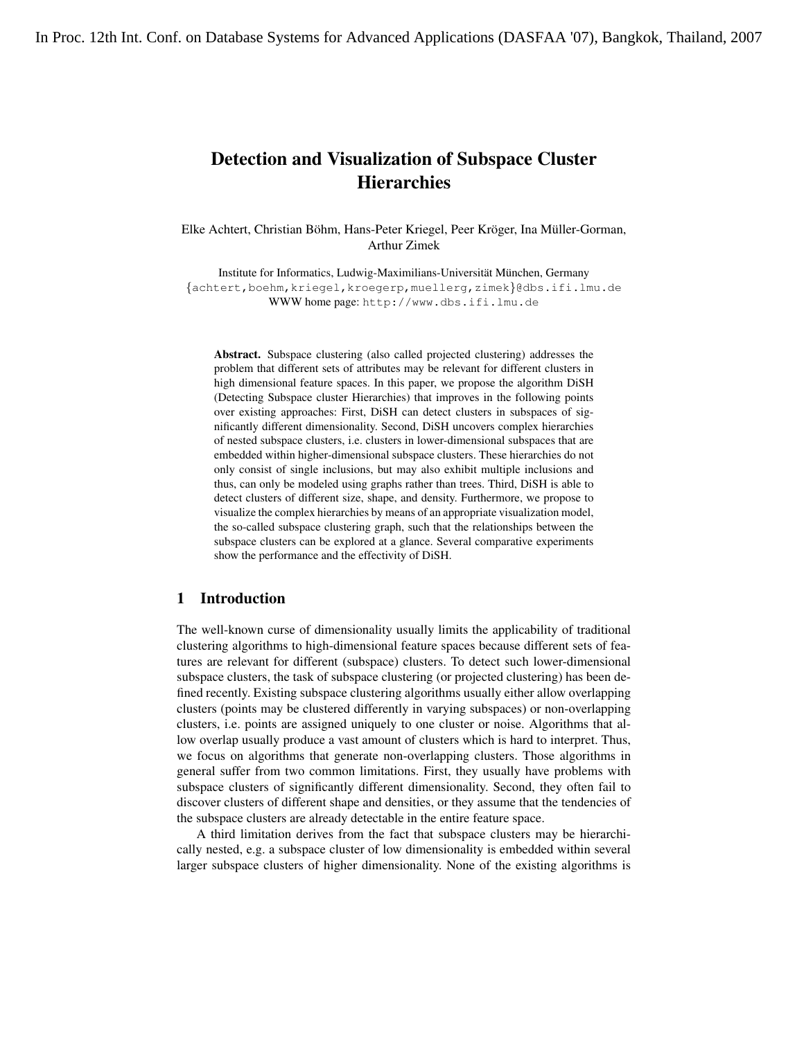# Detection and Visualization of Subspace Cluster **Hierarchies**

Elke Achtert, Christian Böhm, Hans-Peter Kriegel, Peer Kröger, Ina Müller-Gorman, Arthur Zimek

Institute for Informatics, Ludwig-Maximilians-Universität München, Germany {achtert,boehm,kriegel,kroegerp,muellerg,zimek}@dbs.ifi.lmu.de WWW home page: http://www.dbs.ifi.lmu.de

Abstract. Subspace clustering (also called projected clustering) addresses the problem that different sets of attributes may be relevant for different clusters in high dimensional feature spaces. In this paper, we propose the algorithm DiSH (Detecting Subspace cluster Hierarchies) that improves in the following points over existing approaches: First, DiSH can detect clusters in subspaces of significantly different dimensionality. Second, DiSH uncovers complex hierarchies of nested subspace clusters, i.e. clusters in lower-dimensional subspaces that are embedded within higher-dimensional subspace clusters. These hierarchies do not only consist of single inclusions, but may also exhibit multiple inclusions and thus, can only be modeled using graphs rather than trees. Third, DiSH is able to detect clusters of different size, shape, and density. Furthermore, we propose to visualize the complex hierarchies by means of an appropriate visualization model, the so-called subspace clustering graph, such that the relationships between the subspace clusters can be explored at a glance. Several comparative experiments show the performance and the effectivity of DiSH.

## 1 Introduction

The well-known curse of dimensionality usually limits the applicability of traditional clustering algorithms to high-dimensional feature spaces because different sets of features are relevant for different (subspace) clusters. To detect such lower-dimensional subspace clusters, the task of subspace clustering (or projected clustering) has been defined recently. Existing subspace clustering algorithms usually either allow overlapping clusters (points may be clustered differently in varying subspaces) or non-overlapping clusters, i.e. points are assigned uniquely to one cluster or noise. Algorithms that allow overlap usually produce a vast amount of clusters which is hard to interpret. Thus, we focus on algorithms that generate non-overlapping clusters. Those algorithms in general suffer from two common limitations. First, they usually have problems with subspace clusters of significantly different dimensionality. Second, they often fail to discover clusters of different shape and densities, or they assume that the tendencies of the subspace clusters are already detectable in the entire feature space.

A third limitation derives from the fact that subspace clusters may be hierarchically nested, e.g. a subspace cluster of low dimensionality is embedded within several larger subspace clusters of higher dimensionality. None of the existing algorithms is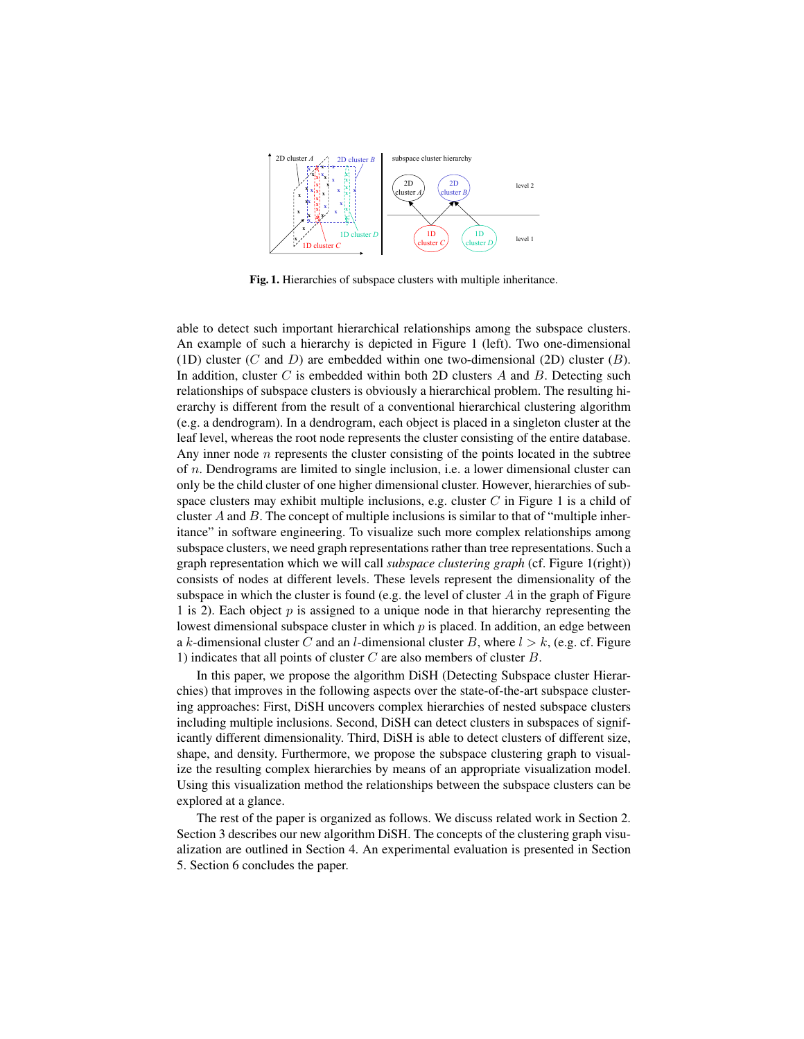

Fig. 1. Hierarchies of subspace clusters with multiple inheritance.

able to detect such important hierarchical relationships among the subspace clusters. An example of such a hierarchy is depicted in Figure 1 (left). Two one-dimensional (1D) cluster (C and D) are embedded within one two-dimensional (2D) cluster (B). In addition, cluster  $C$  is embedded within both 2D clusters  $A$  and  $B$ . Detecting such relationships of subspace clusters is obviously a hierarchical problem. The resulting hierarchy is different from the result of a conventional hierarchical clustering algorithm (e.g. a dendrogram). In a dendrogram, each object is placed in a singleton cluster at the leaf level, whereas the root node represents the cluster consisting of the entire database. Any inner node  $n$  represents the cluster consisting of the points located in the subtree of n. Dendrograms are limited to single inclusion, i.e. a lower dimensional cluster can only be the child cluster of one higher dimensional cluster. However, hierarchies of subspace clusters may exhibit multiple inclusions, e.g. cluster  $C$  in Figure 1 is a child of cluster A and B. The concept of multiple inclusions is similar to that of "multiple inheritance" in software engineering. To visualize such more complex relationships among subspace clusters, we need graph representations rather than tree representations. Such a graph representation which we will call *subspace clustering graph* (cf. Figure 1(right)) consists of nodes at different levels. These levels represent the dimensionality of the subspace in which the cluster is found (e.g. the level of cluster A in the graph of Figure 1 is 2). Each object  $p$  is assigned to a unique node in that hierarchy representing the lowest dimensional subspace cluster in which  $p$  is placed. In addition, an edge between a k-dimensional cluster C and an *l*-dimensional cluster B, where  $l > k$ , (e.g. cf. Figure 1) indicates that all points of cluster C are also members of cluster B.

In this paper, we propose the algorithm DiSH (Detecting Subspace cluster Hierarchies) that improves in the following aspects over the state-of-the-art subspace clustering approaches: First, DiSH uncovers complex hierarchies of nested subspace clusters including multiple inclusions. Second, DiSH can detect clusters in subspaces of significantly different dimensionality. Third, DiSH is able to detect clusters of different size, shape, and density. Furthermore, we propose the subspace clustering graph to visualize the resulting complex hierarchies by means of an appropriate visualization model. Using this visualization method the relationships between the subspace clusters can be explored at a glance.

The rest of the paper is organized as follows. We discuss related work in Section 2. Section 3 describes our new algorithm DiSH. The concepts of the clustering graph visualization are outlined in Section 4. An experimental evaluation is presented in Section 5. Section 6 concludes the paper.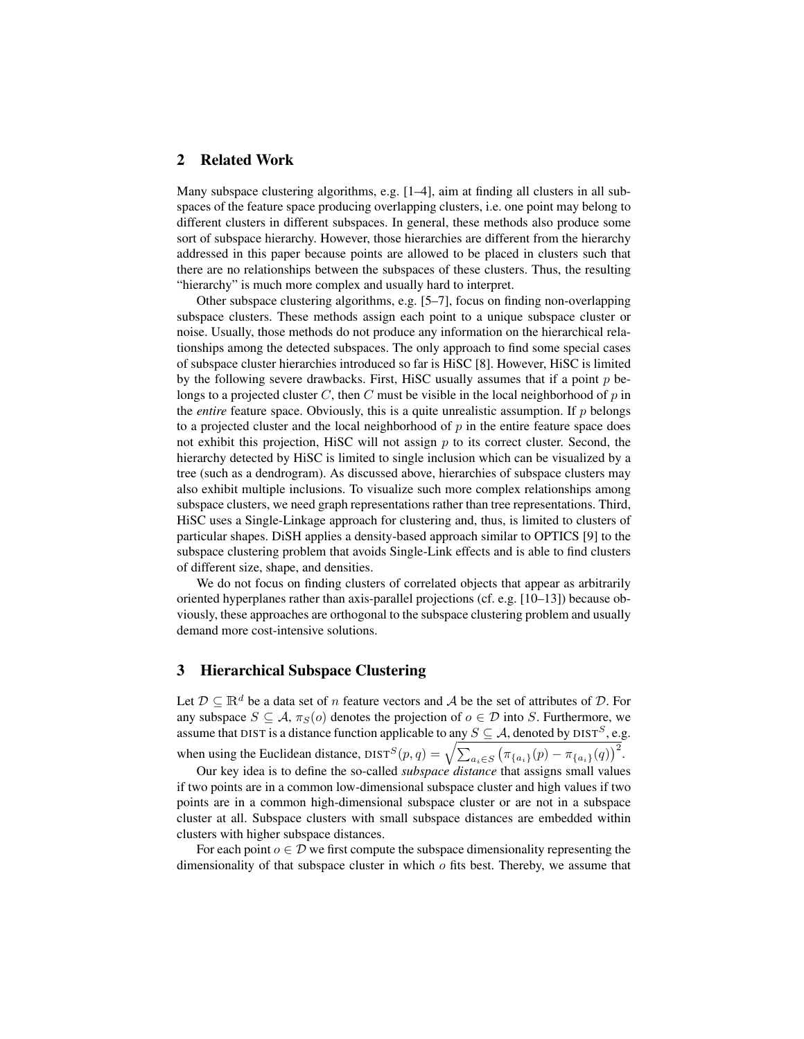## 2 Related Work

Many subspace clustering algorithms, e.g. [1–4], aim at finding all clusters in all subspaces of the feature space producing overlapping clusters, i.e. one point may belong to different clusters in different subspaces. In general, these methods also produce some sort of subspace hierarchy. However, those hierarchies are different from the hierarchy addressed in this paper because points are allowed to be placed in clusters such that there are no relationships between the subspaces of these clusters. Thus, the resulting "hierarchy" is much more complex and usually hard to interpret.

Other subspace clustering algorithms, e.g. [5–7], focus on finding non-overlapping subspace clusters. These methods assign each point to a unique subspace cluster or noise. Usually, those methods do not produce any information on the hierarchical relationships among the detected subspaces. The only approach to find some special cases of subspace cluster hierarchies introduced so far is HiSC [8]. However, HiSC is limited by the following severe drawbacks. First, HiSC usually assumes that if a point  $p$  belongs to a projected cluster C, then C must be visible in the local neighborhood of  $p$  in the *entire* feature space. Obviously, this is a quite unrealistic assumption. If  $p$  belongs to a projected cluster and the local neighborhood of  $p$  in the entire feature space does not exhibit this projection, HiSC will not assign  $p$  to its correct cluster. Second, the hierarchy detected by HiSC is limited to single inclusion which can be visualized by a tree (such as a dendrogram). As discussed above, hierarchies of subspace clusters may also exhibit multiple inclusions. To visualize such more complex relationships among subspace clusters, we need graph representations rather than tree representations. Third, HiSC uses a Single-Linkage approach for clustering and, thus, is limited to clusters of particular shapes. DiSH applies a density-based approach similar to OPTICS [9] to the subspace clustering problem that avoids Single-Link effects and is able to find clusters of different size, shape, and densities.

We do not focus on finding clusters of correlated objects that appear as arbitrarily oriented hyperplanes rather than axis-parallel projections (cf. e.g. [10–13]) because obviously, these approaches are orthogonal to the subspace clustering problem and usually demand more cost-intensive solutions.

## 3 Hierarchical Subspace Clustering

Let  $\mathcal{D} \subseteq \mathbb{R}^d$  be a data set of n feature vectors and A be the set of attributes of D. For any subspace  $S \subseteq A$ ,  $\pi_S(o)$  denotes the projection of  $o \in \mathcal{D}$  into S. Furthermore, we assume that DIST is a distance function applicable to any  $S \subseteq A$ , denoted by DIST<sup>S</sup>, e.g. when using the Euclidean distance,  $\text{DIST}^S(p, q) = \sqrt{\sum_{a_i \in S} (\pi_{\{a_i\}}(p) - \pi_{\{a_i\}}(q))^2}$ .

Our key idea is to define the so-called *subspace distance* that assigns small values if two points are in a common low-dimensional subspace cluster and high values if two points are in a common high-dimensional subspace cluster or are not in a subspace cluster at all. Subspace clusters with small subspace distances are embedded within clusters with higher subspace distances.

For each point  $o \in \mathcal{D}$  we first compute the subspace dimensionality representing the dimensionality of that subspace cluster in which  $\sigma$  fits best. Thereby, we assume that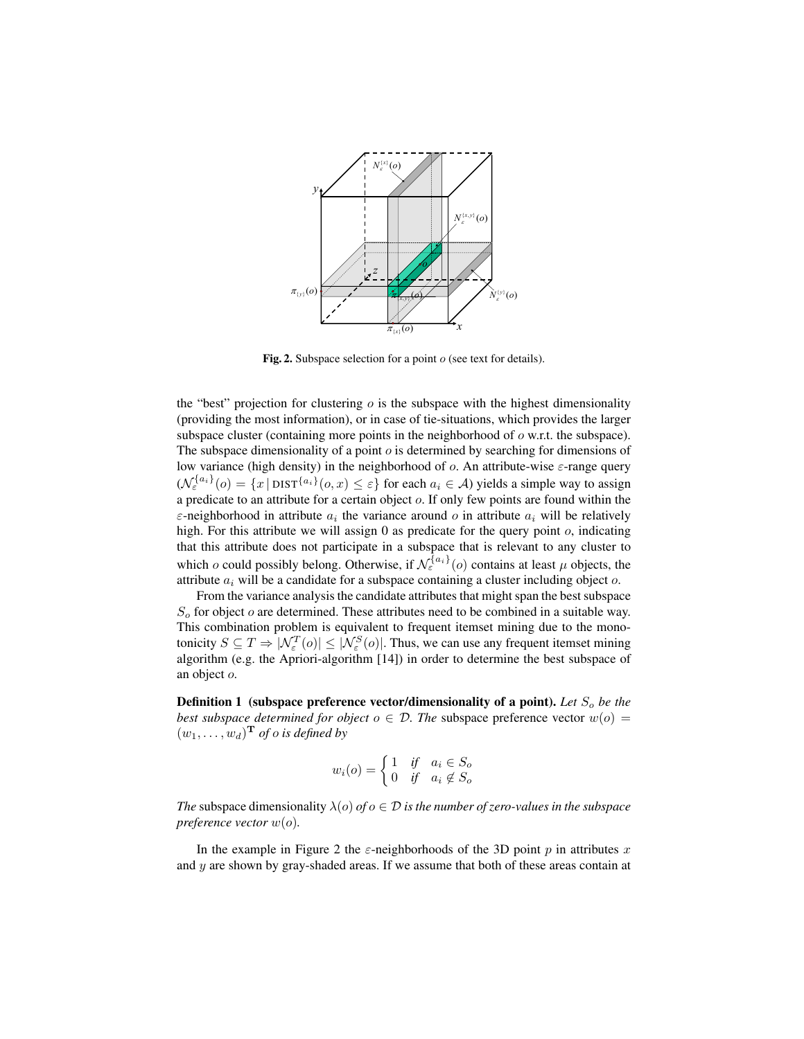

Fig. 2. Subspace selection for a point  $o$  (see text for details).

the "best" projection for clustering  $\sigma$  is the subspace with the highest dimensionality (providing the most information), or in case of tie-situations, which provides the larger subspace cluster (containing more points in the neighborhood of  $\sigma$  w.r.t. the subspace). The subspace dimensionality of a point  $\sigma$  is determined by searching for dimensions of low variance (high density) in the neighborhood of  $o$ . An attribute-wise  $\varepsilon$ -range query  $(\mathcal{N}_{\varepsilon}^{\{a_i\}}(o) = \{x \mid \text{DIST}^{\{a_i\}}(o, x) \leq \varepsilon\}$  for each  $a_i \in \mathcal{A}$ ) yields a simple way to assign a predicate to an attribute for a certain object o. If only few points are found within the  $\varepsilon$ -neighborhood in attribute  $a_i$  the variance around o in attribute  $a_i$  will be relatively high. For this attribute we will assign 0 as predicate for the query point  $o$ , indicating that this attribute does not participate in a subspace that is relevant to any cluster to which o could possibly belong. Otherwise, if  $\mathcal{N}_{\varepsilon}^{\{a_i\}}(o)$  contains at least  $\mu$  objects, the attribute  $a_i$  will be a candidate for a subspace containing a cluster including object  $o$ .

From the variance analysis the candidate attributes that might span the best subspace  $S<sub>o</sub>$  for object  $o$  are determined. These attributes need to be combined in a suitable way. This combination problem is equivalent to frequent itemset mining due to the monotonicity  $S \subseteq T \Rightarrow |\mathcal{N}_{\varepsilon}^{T}(o)| \le |\mathcal{N}_{\varepsilon}^{S}(o)|$ . Thus, we can use any frequent itemset mining algorithm (e.g. the Apriori-algorithm [141) in order to determine the best subspace of algorithm (e.g. the Apriori-algorithm [14]) in order to determine the best subspace of an object o.

Definition 1 (subspace preference vector/dimensionality of a point). Let  $S_o$  be the *best subspace determined for object*  $o \in \mathcal{D}$ . The subspace preference vector  $w(o)$  =  $(w_1, \ldots, w_d)$ <sup>T</sup> *of o is defined by* 

$$
w_i(o) = \begin{cases} 1 & \text{if } a_i \in S_o \\ 0 & \text{if } a_i \notin S_o \end{cases}
$$

*The* subspace dimensionality  $\lambda(o)$  *of*  $o \in \mathcal{D}$  *is the number of zero-values in the subspace preference vector* <sup>w</sup>(o)*.*

In the example in Figure 2 the  $\varepsilon$ -neighborhoods of the 3D point p in attributes x and  $y$  are shown by gray-shaded areas. If we assume that both of these areas contain at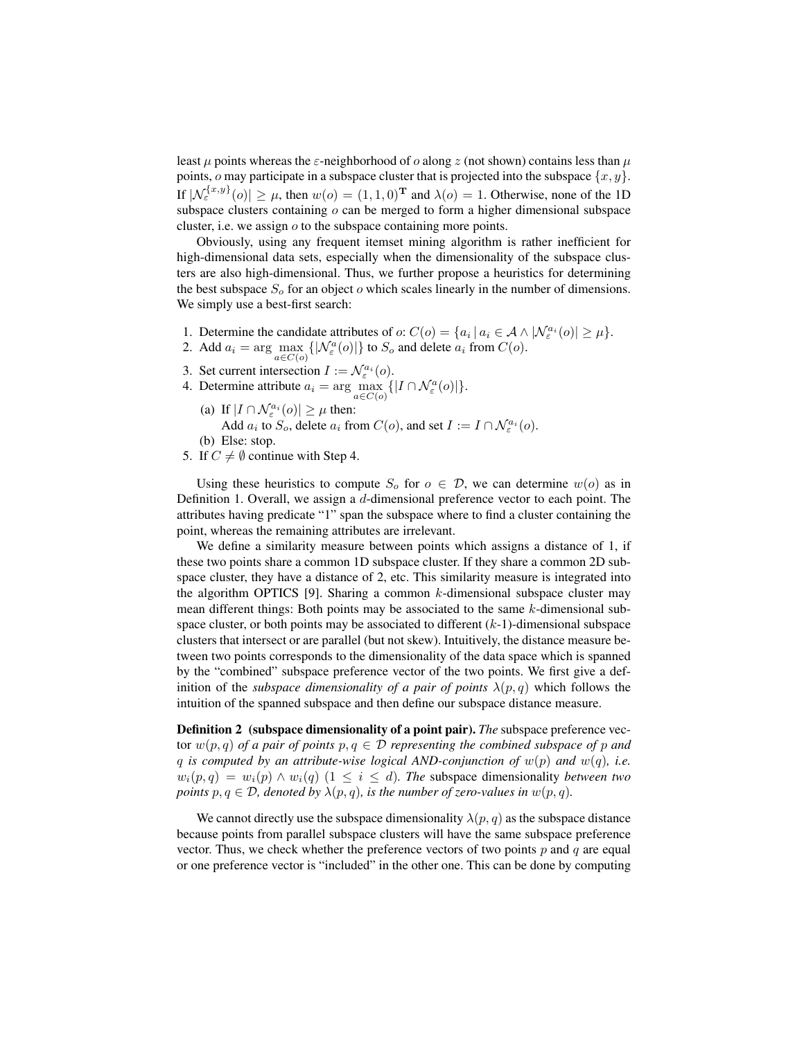least  $\mu$  points whereas the  $\varepsilon$ -neighborhood of  $\sigma$  along  $z$  (not shown) contains less than  $\mu$ points, o may participate in a subspace cluster that is projected into the subspace  $\{x, y\}$ . If  $|\mathcal{N}_{\varepsilon}^{\{x,y\}}(o)| \geq \mu$ , then  $w(o) = (1,1,0)^{\mathrm{T}}$  and  $\lambda(o) = 1$ . Otherwise, none of the 1D subspace clusters containing  $\varrho$  can be merged to form a higher dimensional subspace cluster, i.e. we assign  $\varrho$  to the subspace containing more points.

Obviously, using any frequent itemset mining algorithm is rather inefficient for high-dimensional data sets, especially when the dimensionality of the subspace clusters are also high-dimensional. Thus, we further propose a heuristics for determining the best subspace  $S<sub>o</sub>$  for an object  $o$  which scales linearly in the number of dimensions. We simply use a best-first search:

- 1. Determine the candidate attributes of *o*:  $C(o) = \{a_i | a_i \in A \land |\mathcal{N}_{\varepsilon}^{a_i}(o)| \ge \mu\}.$ <br>2. Add  $a_i = \arg \max_{\varepsilon} f|\mathcal{N}_{\varepsilon}^{a_i}(o)|$  to *S*, and delete *a*, from  $C(o)$ .
- 2. Add  $a_i = \arg \max_{a \in C(o)} \{ |\mathcal{N}_{\varepsilon}^a(o)| \}$  to  $S_o$  and delete  $a_i$  from  $C(o)$ .
- 3. Set current intersection  $I := \mathcal{N}_{\varepsilon}^{a_i}(o)$ .<br>A Determine attribute  $a_i$  = arg max f
- 4. Determine attribute  $a_i = \arg \max_{a \in C(o)} \{ |I \cap \mathcal{N}_{\varepsilon}^a(o)| \}.$ 
	- (a) If  $|I \cap \mathcal{N}_{\varepsilon}^{a_i}(o)| \geq \mu$  then:<br>Add *a* · to *S* delete *a* · from Add  $a_i$  to  $S_o$ , delete  $a_i$  from  $C(o)$ , and set  $I := I \cap \mathcal{N}_{\varepsilon}^{a_i}(o)$ .<br>Fise: stop (b) Else: stop.
- 5. If  $C \neq \emptyset$  continue with Step 4.

Using these heuristics to compute  $S_o$  for  $o \in \mathcal{D}$ , we can determine  $w(o)$  as in Definition 1. Overall, we assign a d-dimensional preference vector to each point. The attributes having predicate "1" span the subspace where to find a cluster containing the point, whereas the remaining attributes are irrelevant.

We define a similarity measure between points which assigns a distance of 1, if these two points share a common 1D subspace cluster. If they share a common 2D subspace cluster, they have a distance of 2, etc. This similarity measure is integrated into the algorithm OPTICS [9]. Sharing a common  $k$ -dimensional subspace cluster may mean different things: Both points may be associated to the same  $k$ -dimensional subspace cluster, or both points may be associated to different  $(k-1)$ -dimensional subspace clusters that intersect or are parallel (but not skew). Intuitively, the distance measure between two points corresponds to the dimensionality of the data space which is spanned by the "combined" subspace preference vector of the two points. We first give a definition of the *subspace dimensionality of a pair of points*  $\lambda(p, q)$  which follows the intuition of the spanned subspace and then define our subspace distance measure.

Definition 2 (subspace dimensionality of a point pair). *The* subspace preference vector  $w(p,q)$  *of a pair of points*  $p,q \in \mathcal{D}$  *representing the combined subspace of p and* q *is computed by an attribute-wise logical AND-conjunction of*  $w(p)$  *and*  $w(q)$ *, i.e.*  $w_i(p,q) = w_i(p) \wedge w_i(q)$  ( $1 \leq i \leq d$ ). The subspace dimensionality *between two points*  $p, q \in \mathcal{D}$ , denoted by  $\lambda(p, q)$ , is the number of zero-values in  $w(p, q)$ .

We cannot directly use the subspace dimensionality  $\lambda(p, q)$  as the subspace distance because points from parallel subspace clusters will have the same subspace preference vector. Thus, we check whether the preference vectors of two points  $p$  and  $q$  are equal or one preference vector is "included" in the other one. This can be done by computing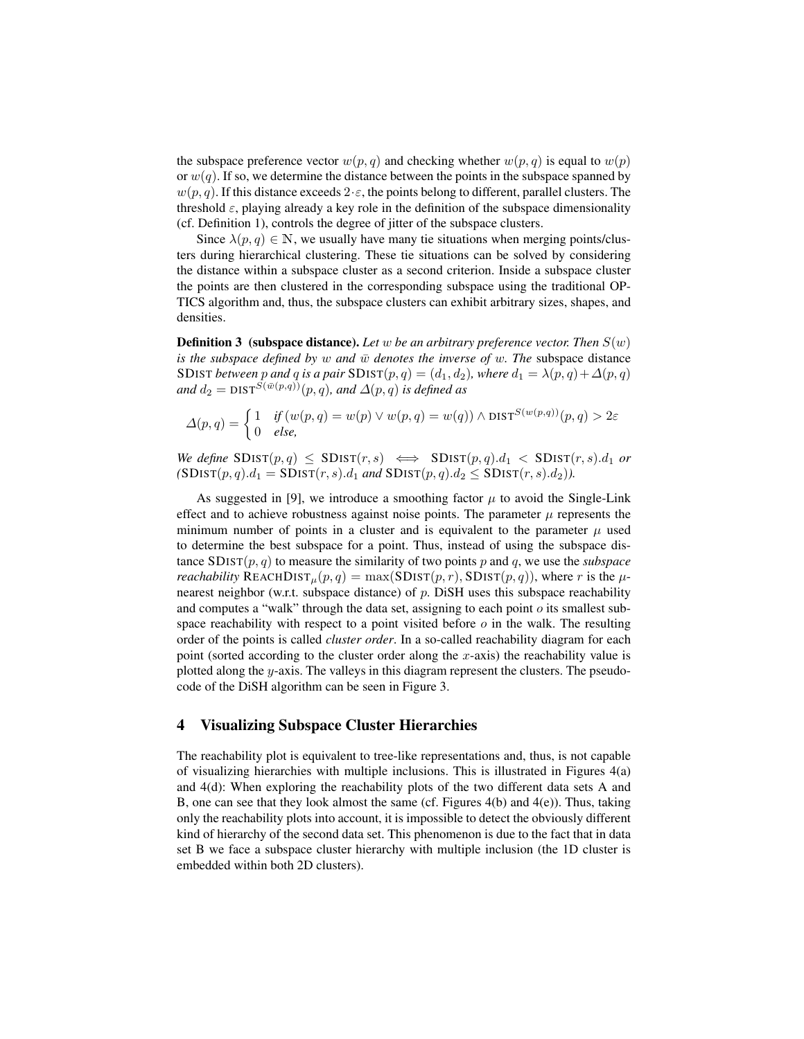the subspace preference vector  $w(p, q)$  and checking whether  $w(p, q)$  is equal to  $w(p)$ or  $w(q)$ . If so, we determine the distance between the points in the subspace spanned by  $w(p, q)$ . If this distance exceeds  $2 \cdot \varepsilon$ , the points belong to different, parallel clusters. The threshold  $\varepsilon$ , playing already a key role in the definition of the subspace dimensionality (cf. Definition 1), controls the degree of jitter of the subspace clusters.

Since  $\lambda(p, q) \in \mathbb{N}$ , we usually have many tie situations when merging points/clusters during hierarchical clustering. These tie situations can be solved by considering the distance within a subspace cluster as a second criterion. Inside a subspace cluster the points are then clustered in the corresponding subspace using the traditional OP-TICS algorithm and, thus, the subspace clusters can exhibit arbitrary sizes, shapes, and densities.

Definition 3 (subspace distance). *Let* <sup>w</sup> *be an arbitrary preference vector. Then* <sup>S</sup>(w) *is the subspace defined by* w and  $\bar{w}$  *denotes the inverse of* w. The subspace distance SDIST *between* p and q *is a pair*  $SDIST(p, q) = (d_1, d_2)$ *, where*  $d_1 = \lambda(p, q) + \Delta(p, q)$ *and*  $d_2 = \text{DIST}^{S(\bar{w}(p,q))}(p,q)$ *, and*  $\Delta(p,q)$  *is defined as* 

$$
\Delta(p,q) = \begin{cases} 1 & \text{if } (w(p,q) = w(p) \lor w(p,q) = w(q)) \land \text{dist}^{S(w(p,q))}(p,q) > 2\varepsilon \\ 0 & \text{else,} \end{cases}
$$

*We define*  $SDIST(p, q) \leq SDIST(r, s) \iff SDIST(p, q) \cdot d_1 < SDIST(r, s) \cdot d_1$  *or*  $(SDIST(p, q).d_1 = SDIST(r, s).d_1$  *and*  $SDIST(p, q).d_2 \leq SDIST(r, s).d_2)$ *).* 

As suggested in [9], we introduce a smoothing factor  $\mu$  to avoid the Single-Link effect and to achieve robustness against noise points. The parameter  $\mu$  represents the minimum number of points in a cluster and is equivalent to the parameter  $\mu$  used to determine the best subspace for a point. Thus, instead of using the subspace distance  $SDIST(p, q)$  to measure the similarity of two points p and q, we use the *subspace reachability* REACHDIST<sub> $\mu$ </sub> $(p, q) = \max(SDIST(p, r), SDIST(p, q))$ , where r is the  $\mu$ nearest neighbor (w.r.t. subspace distance) of  $p$ . DiSH uses this subspace reachability and computes a "walk" through the data set, assigning to each point  $o$  its smallest subspace reachability with respect to a point visited before  $o$  in the walk. The resulting order of the points is called *cluster order*. In a so-called reachability diagram for each point (sorted according to the cluster order along the  $x$ -axis) the reachability value is plotted along the y-axis. The valleys in this diagram represent the clusters. The pseudocode of the DiSH algorithm can be seen in Figure 3.

#### 4 Visualizing Subspace Cluster Hierarchies

The reachability plot is equivalent to tree-like representations and, thus, is not capable of visualizing hierarchies with multiple inclusions. This is illustrated in Figures 4(a) and 4(d): When exploring the reachability plots of the two different data sets A and B, one can see that they look almost the same (cf. Figures  $4(b)$  and  $4(e)$ ). Thus, taking only the reachability plots into account, it is impossible to detect the obviously different kind of hierarchy of the second data set. This phenomenon is due to the fact that in data set B we face a subspace cluster hierarchy with multiple inclusion (the 1D cluster is embedded within both 2D clusters).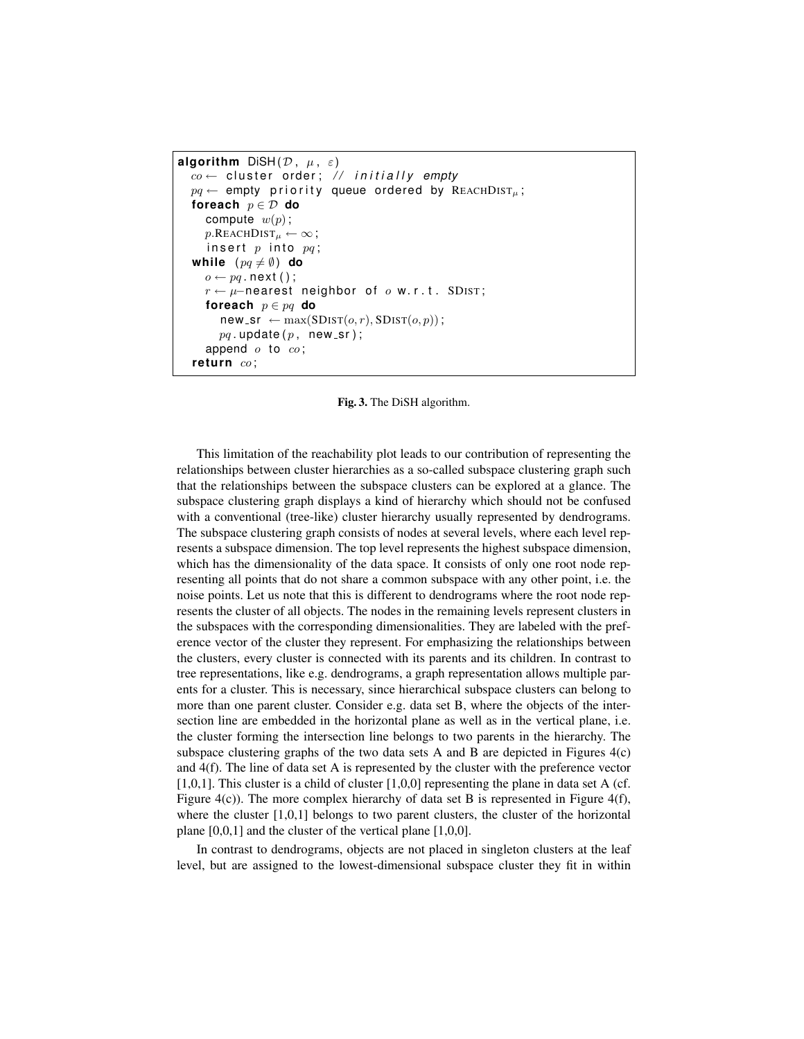```
algorithm \text{DiSH}(\mathcal{D}, \mu, \varepsilon)co ← cluster order ; // initially empty
pq \leftarrow empty priority queue ordered by REACHDIST<sub>\mu</sub>;
foreach p ∈ D do
   compute w(p);
   p.REACHDIST<sub>u \leftarrow \infty;</sub>
   insert p into pq;
while (pq \neq \emptyset) do
   o \leftarrow pq. next ();
   r \leftarrow \mu-nearest neighbor of o w.r.t. SDIST;
   foreach p ∈ pq do
      new_s r \leftarrow max(SDIST(o, r), SDIST(o, p));pq. update (p, \text{ new\_sr});
   append o to co;
return co;
```
Fig. 3. The DiSH algorithm.

This limitation of the reachability plot leads to our contribution of representing the relationships between cluster hierarchies as a so-called subspace clustering graph such that the relationships between the subspace clusters can be explored at a glance. The subspace clustering graph displays a kind of hierarchy which should not be confused with a conventional (tree-like) cluster hierarchy usually represented by dendrograms. The subspace clustering graph consists of nodes at several levels, where each level represents a subspace dimension. The top level represents the highest subspace dimension, which has the dimensionality of the data space. It consists of only one root node representing all points that do not share a common subspace with any other point, i.e. the noise points. Let us note that this is different to dendrograms where the root node represents the cluster of all objects. The nodes in the remaining levels represent clusters in the subspaces with the corresponding dimensionalities. They are labeled with the preference vector of the cluster they represent. For emphasizing the relationships between the clusters, every cluster is connected with its parents and its children. In contrast to tree representations, like e.g. dendrograms, a graph representation allows multiple parents for a cluster. This is necessary, since hierarchical subspace clusters can belong to more than one parent cluster. Consider e.g. data set B, where the objects of the intersection line are embedded in the horizontal plane as well as in the vertical plane, i.e. the cluster forming the intersection line belongs to two parents in the hierarchy. The subspace clustering graphs of the two data sets A and B are depicted in Figures 4(c) and 4(f). The line of data set A is represented by the cluster with the preference vector [1,0,1]. This cluster is a child of cluster [1,0,0] representing the plane in data set A (cf. Figure 4(c)). The more complex hierarchy of data set B is represented in Figure 4(f), where the cluster [1,0,1] belongs to two parent clusters, the cluster of the horizontal plane  $[0,0,1]$  and the cluster of the vertical plane  $[1,0,0]$ .

In contrast to dendrograms, objects are not placed in singleton clusters at the leaf level, but are assigned to the lowest-dimensional subspace cluster they fit in within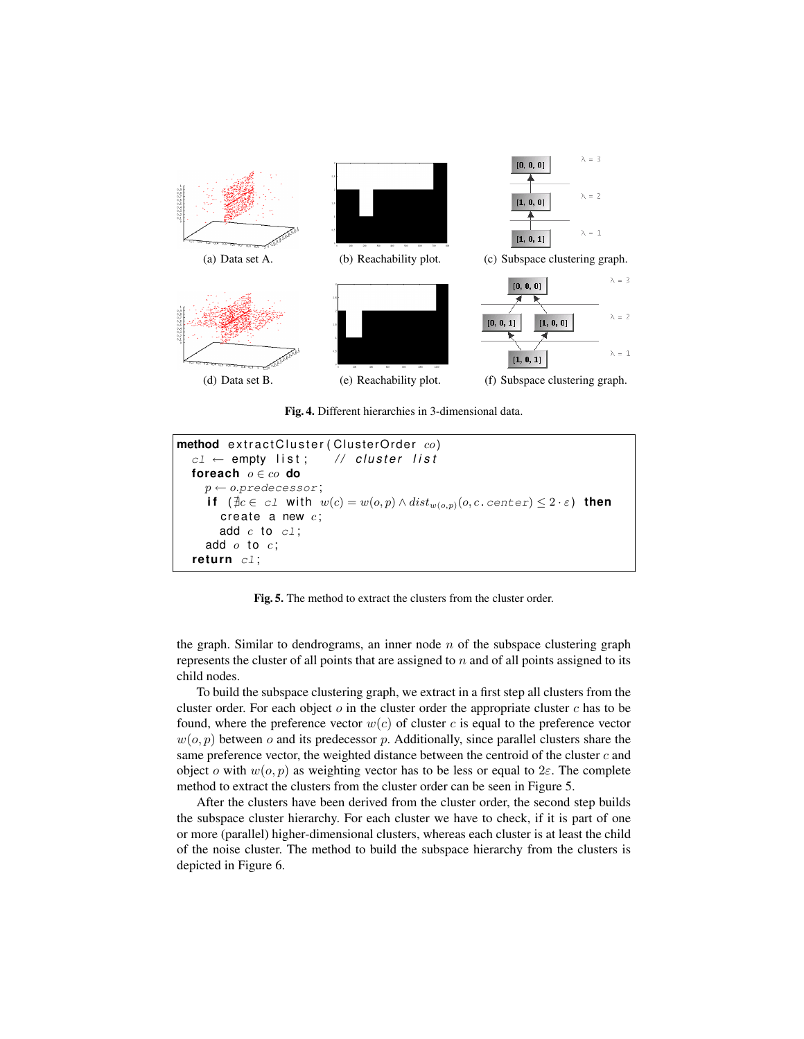

Fig. 4. Different hierarchies in 3-dimensional data.

```
method extractCluster (ClusterOrder co)
c1 \leftarrow empty list; // cluster list
foreach o ∈ co do
   p ← o.predecessor ;
   if (\nexists c \in c1 \text{ with } w(c) = w(o, p) \land dist_{w(o, p)}(o, c \text{. center}) \leq 2 \cdot \varepsilon) then
      create a new c;
      add c to cl;
   add o to c;
return cl ;
```
Fig. 5. The method to extract the clusters from the cluster order.

the graph. Similar to dendrograms, an inner node  $n$  of the subspace clustering graph represents the cluster of all points that are assigned to n and of all points assigned to its child nodes.

To build the subspace clustering graph, we extract in a first step all clusters from the cluster order. For each object  $o$  in the cluster order the appropriate cluster  $c$  has to be found, where the preference vector  $w(c)$  of cluster c is equal to the preference vector  $w(o, p)$  between o and its predecessor p. Additionally, since parallel clusters share the same preference vector, the weighted distance between the centroid of the cluster  $c$  and object o with  $w(o, p)$  as weighting vector has to be less or equal to  $2\varepsilon$ . The complete method to extract the clusters from the cluster order can be seen in Figure 5.

After the clusters have been derived from the cluster order, the second step builds the subspace cluster hierarchy. For each cluster we have to check, if it is part of one or more (parallel) higher-dimensional clusters, whereas each cluster is at least the child of the noise cluster. The method to build the subspace hierarchy from the clusters is depicted in Figure 6.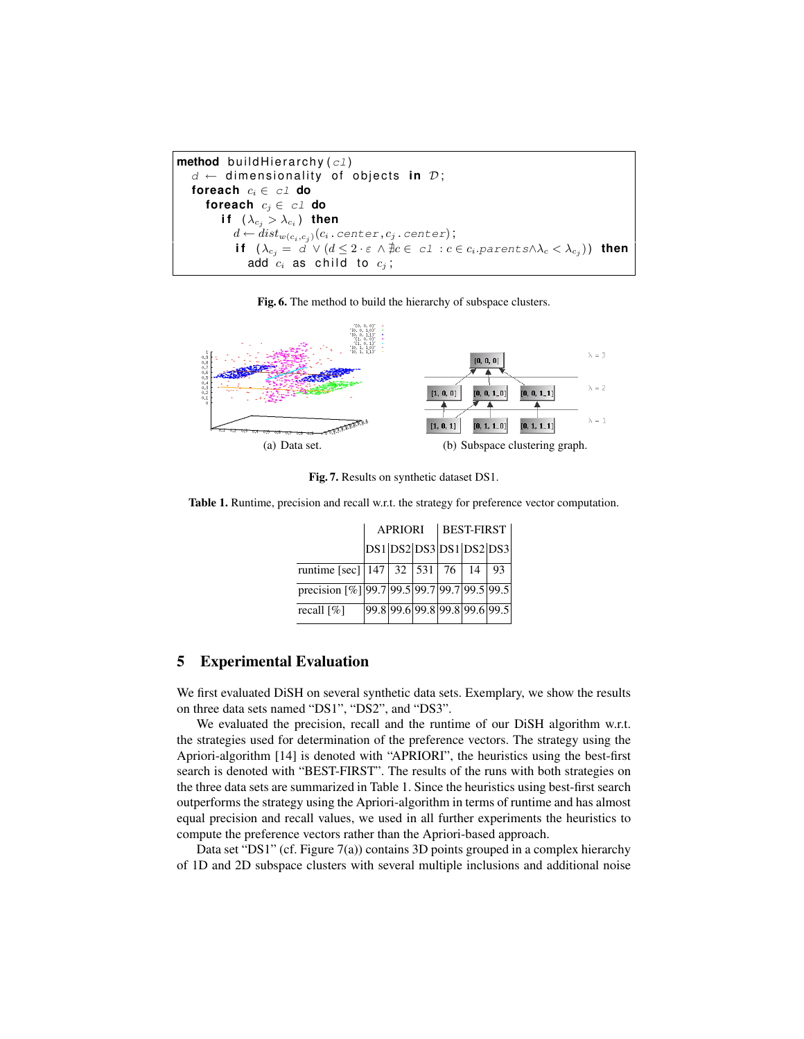```
method buildHierarchy (cl)
 d \leftarrow dimensionality of objects in \mathcal{D};
 foreach c_i \in \text{cl} do
     foreach cj ∈ cl do
         if (\lambda_{c_i} > \lambda_{c_i}) then
             d \leftarrow dist_{w(c_i, c_j)}(c_i \cdot \text{center}, c_j \cdot \text{center});
             if (\lambda_{c_i} = d \vee (d \leq 2 \cdot \varepsilon \wedge \nexists c \in cl : c \in c_i.\text{parents} \wedge \lambda_c < \lambda_{c_i}) then
                 add c_i as child to c_j;
```




Fig. 7. Results on synthetic dataset DS1.

Table 1. Runtime, precision and recall w.r.t. the strategy for preference vector computation.

|                                                                                                   | APRIORI |  |  | <b>BEST-FIRST</b> |                          |    |
|---------------------------------------------------------------------------------------------------|---------|--|--|-------------------|--------------------------|----|
|                                                                                                   |         |  |  |                   | DS1 DS2 DS3 DS1 DS2 DS3  |    |
| runtime [sec]   147   32   531   $\overline{76}$   14                                             |         |  |  |                   |                          | 93 |
| precision $\lceil \frac{9}{6} \rceil \lceil 99.7 \rceil 99.5 \rceil 99.7 \rceil 99.5 \rceil 99.5$ |         |  |  |                   |                          |    |
| recall [%]                                                                                        |         |  |  |                   | 99.899.699.899.899.699.5 |    |

## 5 Experimental Evaluation

We first evaluated DiSH on several synthetic data sets. Exemplary, we show the results on three data sets named "DS1", "DS2", and "DS3".

We evaluated the precision, recall and the runtime of our DiSH algorithm w.r.t. the strategies used for determination of the preference vectors. The strategy using the Apriori-algorithm [14] is denoted with "APRIORI", the heuristics using the best-first search is denoted with "BEST-FIRST". The results of the runs with both strategies on the three data sets are summarized in Table 1. Since the heuristics using best-first search outperforms the strategy using the Apriori-algorithm in terms of runtime and has almost equal precision and recall values, we used in all further experiments the heuristics to compute the preference vectors rather than the Apriori-based approach.

Data set "DS1" (cf. Figure 7(a)) contains 3D points grouped in a complex hierarchy of 1D and 2D subspace clusters with several multiple inclusions and additional noise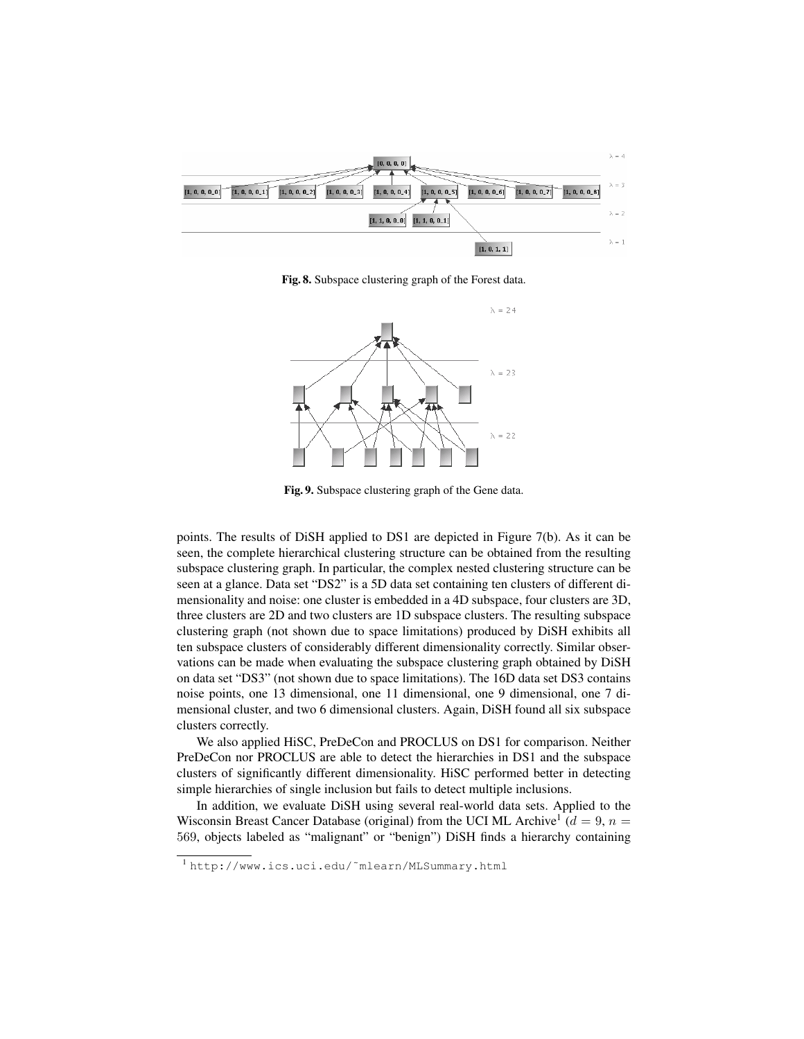

Fig. 8. Subspace clustering graph of the Forest data.



Fig. 9. Subspace clustering graph of the Gene data.

points. The results of DiSH applied to DS1 are depicted in Figure 7(b). As it can be seen, the complete hierarchical clustering structure can be obtained from the resulting subspace clustering graph. In particular, the complex nested clustering structure can be seen at a glance. Data set "DS2" is a 5D data set containing ten clusters of different dimensionality and noise: one cluster is embedded in a 4D subspace, four clusters are 3D, three clusters are 2D and two clusters are 1D subspace clusters. The resulting subspace clustering graph (not shown due to space limitations) produced by DiSH exhibits all ten subspace clusters of considerably different dimensionality correctly. Similar observations can be made when evaluating the subspace clustering graph obtained by DiSH on data set "DS3" (not shown due to space limitations). The 16D data set DS3 contains noise points, one 13 dimensional, one 11 dimensional, one 9 dimensional, one 7 dimensional cluster, and two 6 dimensional clusters. Again, DiSH found all six subspace clusters correctly.

We also applied HiSC, PreDeCon and PROCLUS on DS1 for comparison. Neither PreDeCon nor PROCLUS are able to detect the hierarchies in DS1 and the subspace clusters of significantly different dimensionality. HiSC performed better in detecting simple hierarchies of single inclusion but fails to detect multiple inclusions.

In addition, we evaluate DiSH using several real-world data sets. Applied to the Wisconsin Breast Cancer Database (original) from the UCI ML Archive<sup>1</sup> ( $d = 9$ ,  $n =$ 569, objects labeled as "malignant" or "benign") DiSH finds a hierarchy containing

<sup>1</sup> http://www.ics.uci.edu/˜mlearn/MLSummary.html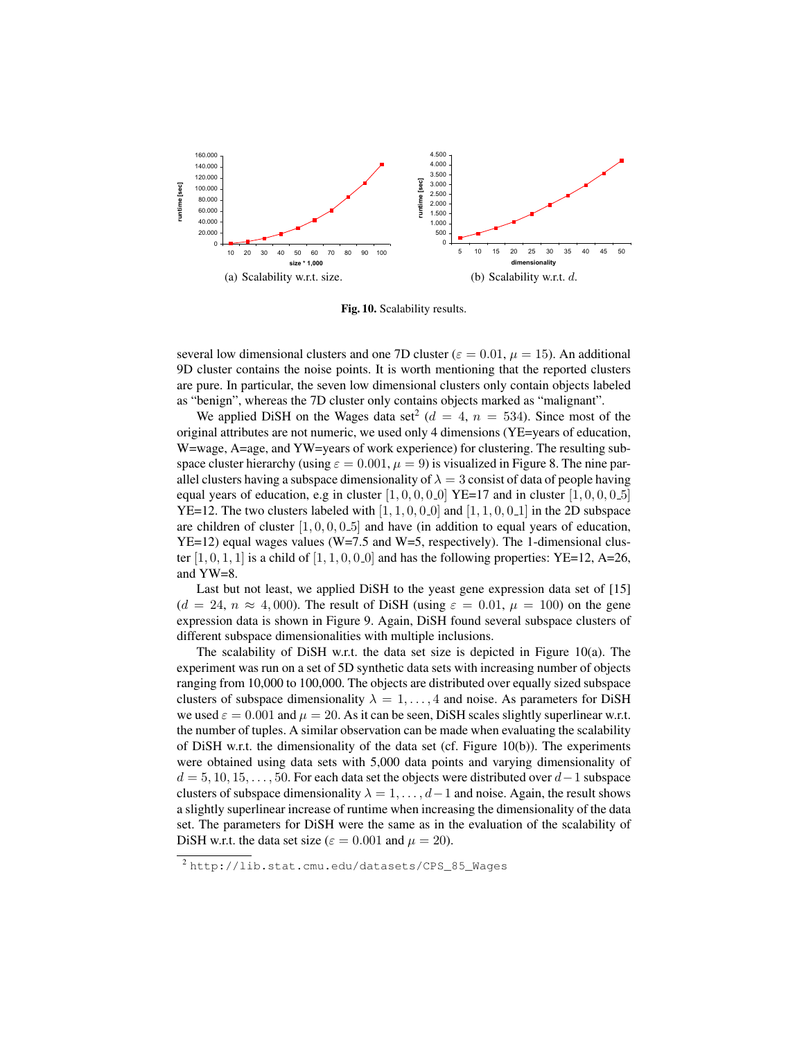

Fig. 10. Scalability results.

several low dimensional clusters and one 7D cluster ( $\varepsilon = 0.01$ ,  $\mu = 15$ ). An additional 9D cluster contains the noise points. It is worth mentioning that the reported clusters are pure. In particular, the seven low dimensional clusters only contain objects labeled as "benign", whereas the 7D cluster only contains objects marked as "malignant".

We applied DiSH on the Wages data set<sup>2</sup> ( $d = 4$ ,  $n = 534$ ). Since most of the original attributes are not numeric, we used only 4 dimensions (YE=years of education, W=wage, A=age, and YW=years of work experience) for clustering. The resulting subspace cluster hierarchy (using  $\varepsilon = 0.001$ ,  $\mu = 9$ ) is visualized in Figure 8. The nine parallel clusters having a subspace dimensionality of  $\lambda = 3$  consist of data of people having equal years of education, e.g in cluster  $[1, 0, 0, 0.0]$  YE=17 and in cluster  $[1, 0, 0, 0.5]$ YE=12. The two clusters labeled with  $[1, 1, 0, 0.0]$  and  $[1, 1, 0, 0.1]$  in the 2D subspace are children of cluster  $[1, 0, 0, 0.5]$  and have (in addition to equal years of education,  $YE=12$ ) equal wages values (W=7.5 and W=5, respectively). The 1-dimensional cluster  $[1, 0, 1, 1]$  is a child of  $[1, 1, 0, 0, 0]$  and has the following properties: YE=12, A=26, and YW=8.

Last but not least, we applied DiSH to the yeast gene expression data set of [15]  $(d = 24, n \approx 4,000)$ . The result of DiSH (using  $\varepsilon = 0.01, \mu = 100$ ) on the gene expression data is shown in Figure 9. Again, DiSH found several subspace clusters of different subspace dimensionalities with multiple inclusions.

The scalability of DiSH w.r.t. the data set size is depicted in Figure 10(a). The experiment was run on a set of 5D synthetic data sets with increasing number of objects ranging from 10,000 to 100,000. The objects are distributed over equally sized subspace clusters of subspace dimensionality  $\lambda = 1, \ldots, 4$  and noise. As parameters for DiSH we used  $\varepsilon = 0.001$  and  $\mu = 20$ . As it can be seen, DiSH scales slightly superlinear w.r.t. the number of tuples. A similar observation can be made when evaluating the scalability of DiSH w.r.t. the dimensionality of the data set (cf. Figure 10(b)). The experiments were obtained using data sets with 5,000 data points and varying dimensionality of  $d = 5, 10, 15, \ldots, 50$ . For each data set the objects were distributed over  $d-1$  subspace clusters of subspace dimensionality  $\lambda = 1, \ldots, d-1$  and noise. Again, the result shows a slightly superlinear increase of runtime when increasing the dimensionality of the data set. The parameters for DiSH were the same as in the evaluation of the scalability of DiSH w.r.t. the data set size ( $\varepsilon = 0.001$  and  $\mu = 20$ ).

<sup>2</sup> http://lib.stat.cmu.edu/datasets/CPS\_85\_Wages